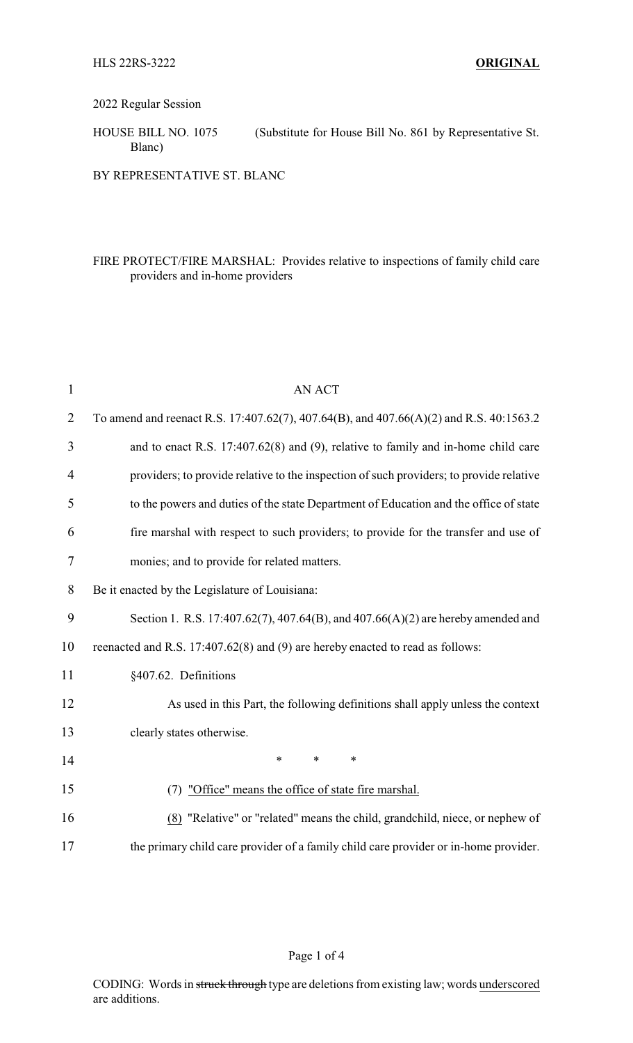## 2022 Regular Session

HOUSE BILL NO. 1075 (Substitute for House Bill No. 861 by Representative St. Blanc)

BY REPRESENTATIVE ST. BLANC

## FIRE PROTECT/FIRE MARSHAL: Provides relative to inspections of family child care providers and in-home providers

| $\mathbf{1}$   | <b>AN ACT</b>                                                                           |
|----------------|-----------------------------------------------------------------------------------------|
| $\overline{2}$ | To amend and reenact R.S. 17:407.62(7), 407.64(B), and 407.66(A)(2) and R.S. 40:1563.2  |
| 3              | and to enact R.S. 17:407.62(8) and (9), relative to family and in-home child care       |
| 4              | providers; to provide relative to the inspection of such providers; to provide relative |
| 5              | to the powers and duties of the state Department of Education and the office of state   |
| 6              | fire marshal with respect to such providers; to provide for the transfer and use of     |
| 7              | monies; and to provide for related matters.                                             |
| 8              | Be it enacted by the Legislature of Louisiana:                                          |
| 9              | Section 1. R.S. 17:407.62(7), 407.64(B), and 407.66(A)(2) are hereby amended and        |
| 10             | reenacted and R.S. 17:407.62(8) and (9) are hereby enacted to read as follows:          |
| 11             | §407.62. Definitions                                                                    |
| 12             | As used in this Part, the following definitions shall apply unless the context          |
| 13             | clearly states otherwise.                                                               |
| 14             | $\ast$<br>$\ast$<br>$\ast$                                                              |
| 15             | (7) "Office" means the office of state fire marshal.                                    |
| 16             | (8) "Relative" or "related" means the child, grandchild, niece, or nephew of            |
| 17             | the primary child care provider of a family child care provider or in-home provider.    |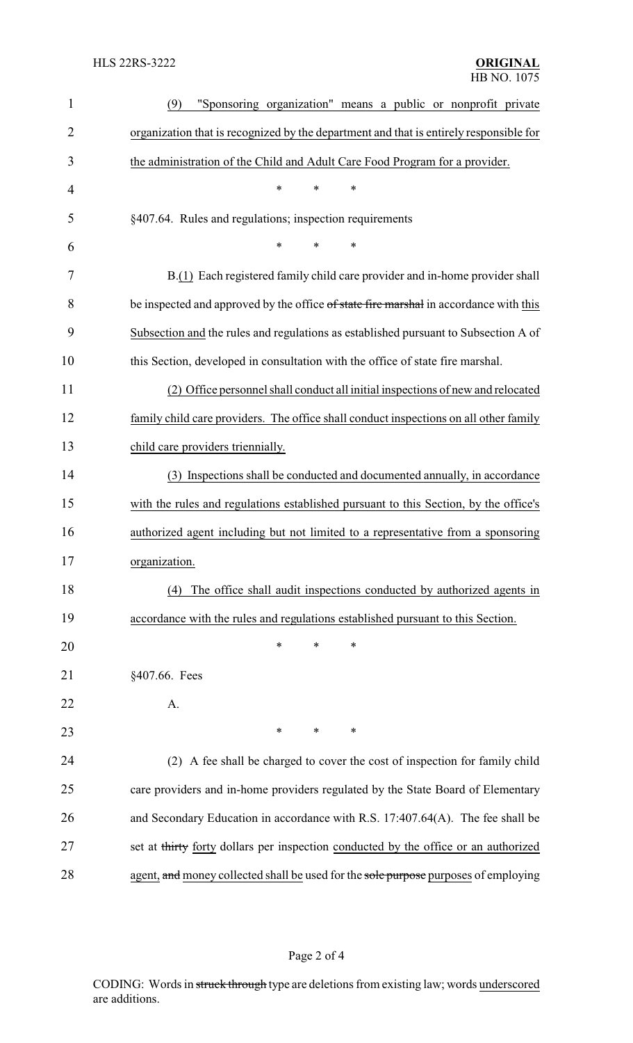| $\mathbf{1}$   | "Sponsoring organization" means a public or nonprofit private<br>(9)                   |
|----------------|----------------------------------------------------------------------------------------|
| $\overline{2}$ | organization that is recognized by the department and that is entirely responsible for |
| 3              | the administration of the Child and Adult Care Food Program for a provider.            |
| $\overline{4}$ | $\ast$<br>$\ast$<br>$\ast$                                                             |
| 5              | §407.64. Rules and regulations; inspection requirements                                |
| 6              | $\ast$<br>$\ast$<br>*                                                                  |
| 7              | B.(1) Each registered family child care provider and in-home provider shall            |
| 8              | be inspected and approved by the office of state fire marshal in accordance with this  |
| 9              | Subsection and the rules and regulations as established pursuant to Subsection A of    |
| 10             | this Section, developed in consultation with the office of state fire marshal.         |
| 11             | (2) Office personnel shall conduct all initial inspections of new and relocated        |
| 12             | family child care providers. The office shall conduct inspections on all other family  |
| 13             | child care providers triennially.                                                      |
| 14             | (3) Inspections shall be conducted and documented annually, in accordance              |
| 15             | with the rules and regulations established pursuant to this Section, by the office's   |
| 16             | authorized agent including but not limited to a representative from a sponsoring       |
| 17             | organization.                                                                          |
| 18             | (4) The office shall audit inspections conducted by authorized agents in               |
| 19             | accordance with the rules and regulations established pursuant to this Section.        |
| 20             | ∗<br>*<br>∗                                                                            |
| 21             | §407.66. Fees                                                                          |
| 22             | A.                                                                                     |
| 23             | $\ast$<br>$\ast$<br>∗                                                                  |
| 24             | (2) A fee shall be charged to cover the cost of inspection for family child            |
| 25             | care providers and in-home providers regulated by the State Board of Elementary        |
| 26             | and Secondary Education in accordance with R.S. 17:407.64(A). The fee shall be         |
| 27             | set at thirty forty dollars per inspection conducted by the office or an authorized    |
| 28             | agent, and money collected shall be used for the sole purpose purposes of employing    |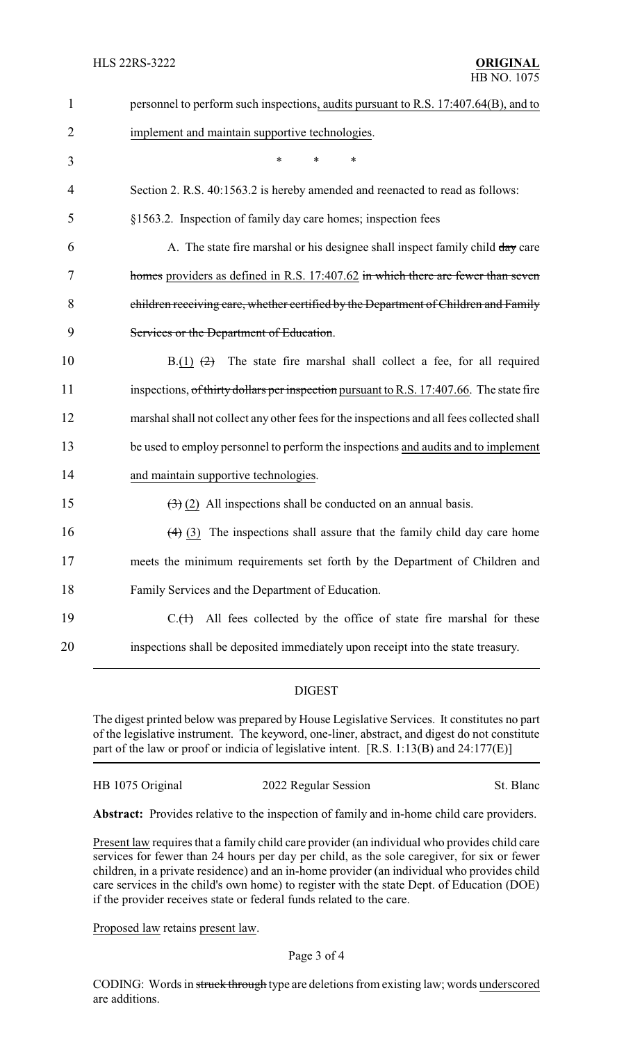| $\mathbf{1}$   | personnel to perform such inspections, audits pursuant to R.S. 17:407.64(B), and to       |
|----------------|-------------------------------------------------------------------------------------------|
| $\overline{2}$ | implement and maintain supportive technologies.                                           |
| 3              | *<br>*<br>∗                                                                               |
| 4              | Section 2. R.S. 40:1563.2 is hereby amended and reenacted to read as follows:             |
| 5              | §1563.2. Inspection of family day care homes; inspection fees                             |
| 6              | A. The state fire marshal or his designee shall inspect family child day care             |
| 7              | homes providers as defined in R.S. 17:407.62 in which there are fewer than seven          |
| 8              | children receiving care, whether certified by the Department of Children and Family       |
| 9              | Services or the Department of Education.                                                  |
| 10             | The state fire marshal shall collect a fee, for all required<br>$B(1)$ $(2)$              |
| 11             | inspections, of thirty dollars per inspection pursuant to R.S. 17:407.66. The state fire  |
| 12             | marshal shall not collect any other fees for the inspections and all fees collected shall |
| 13             | be used to employ personnel to perform the inspections and audits and to implement        |
| 14             | and maintain supportive technologies.                                                     |
| 15             | $\left(\frac{1}{2}\right)$ (2) All inspections shall be conducted on an annual basis.     |
| 16             | $(4)$ (3) The inspections shall assure that the family child day care home                |
| 17             | meets the minimum requirements set forth by the Department of Children and                |
| 18             | Family Services and the Department of Education.                                          |
| 19             | All fees collected by the office of state fire marshal for these<br>$C1(+)$               |
| 20             | inspections shall be deposited immediately upon receipt into the state treasury.          |
|                |                                                                                           |

## DIGEST

The digest printed below was prepared by House Legislative Services. It constitutes no part of the legislative instrument. The keyword, one-liner, abstract, and digest do not constitute part of the law or proof or indicia of legislative intent. [R.S. 1:13(B) and 24:177(E)]

## HB 1075 Original 2022 Regular Session St. Blanc

**Abstract:** Provides relative to the inspection of family and in-home child care providers.

Present law requires that a family child care provider (an individual who provides child care services for fewer than 24 hours per day per child, as the sole caregiver, for six or fewer children, in a private residence) and an in-home provider (an individual who provides child care services in the child's own home) to register with the state Dept. of Education (DOE) if the provider receives state or federal funds related to the care.

Proposed law retains present law.

CODING: Words in struck through type are deletions from existing law; words underscored are additions.